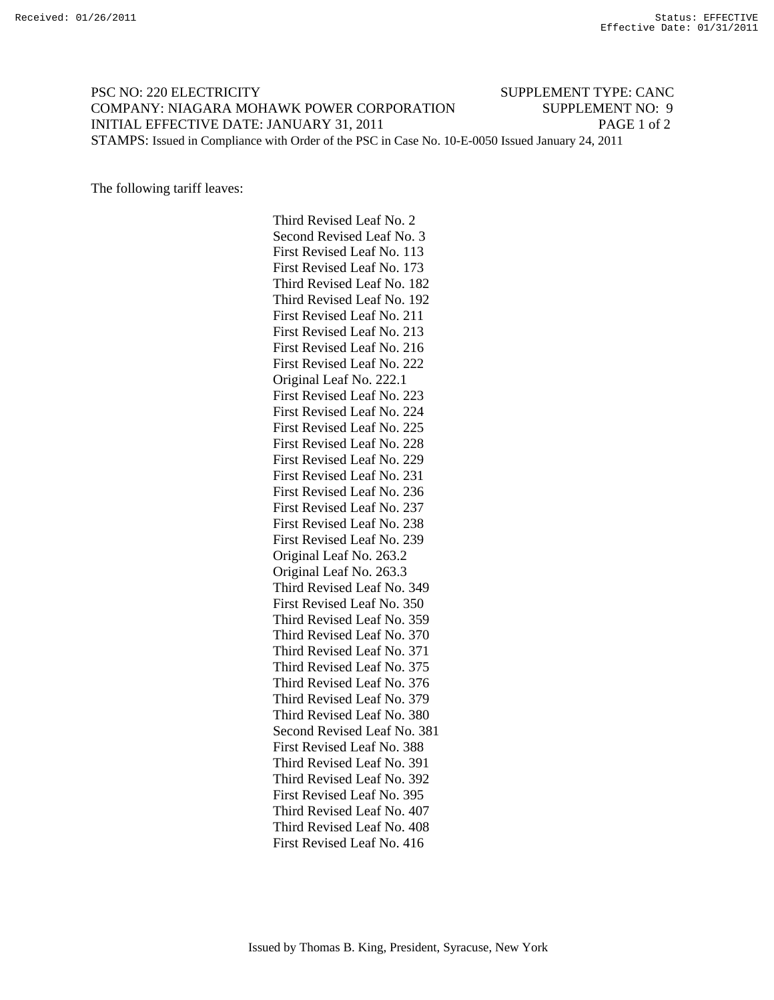## PSC NO: 220 ELECTRICITY SUPPLEMENT TYPE: CANC COMPANY: NIAGARA MOHAWK POWER CORPORATION SUPPLEMENT NO: 9 INITIAL EFFECTIVE DATE: JANUARY 31, 2011 PAGE 1 of 2 STAMPS: Issued in Compliance with Order of the PSC in Case No. 10-E-0050 Issued January 24, 2011

The following tariff leaves:

 Third Revised Leaf No. 2 Second Revised Leaf No. 3 First Revised Leaf No. 113 First Revised Leaf No. 173 Third Revised Leaf No. 182 Third Revised Leaf No. 192 First Revised Leaf No. 211 First Revised Leaf No. 213 First Revised Leaf No. 216 First Revised Leaf No. 222 Original Leaf No. 222.1 First Revised Leaf No. 223 First Revised Leaf No. 224 First Revised Leaf No. 225 First Revised Leaf No. 228 First Revised Leaf No. 229 First Revised Leaf No. 231 First Revised Leaf No. 236 First Revised Leaf No. 237 First Revised Leaf No. 238 First Revised Leaf No. 239 Original Leaf No. 263.2 Original Leaf No. 263.3 Third Revised Leaf No. 349 First Revised Leaf No. 350 Third Revised Leaf No. 359 Third Revised Leaf No. 370 Third Revised Leaf No. 371 Third Revised Leaf No. 375 Third Revised Leaf No. 376 Third Revised Leaf No. 379 Third Revised Leaf No. 380 Second Revised Leaf No. 381 First Revised Leaf No. 388 Third Revised Leaf No. 391 Third Revised Leaf No. 392 First Revised Leaf No. 395 Third Revised Leaf No. 407 Third Revised Leaf No. 408 First Revised Leaf No. 416